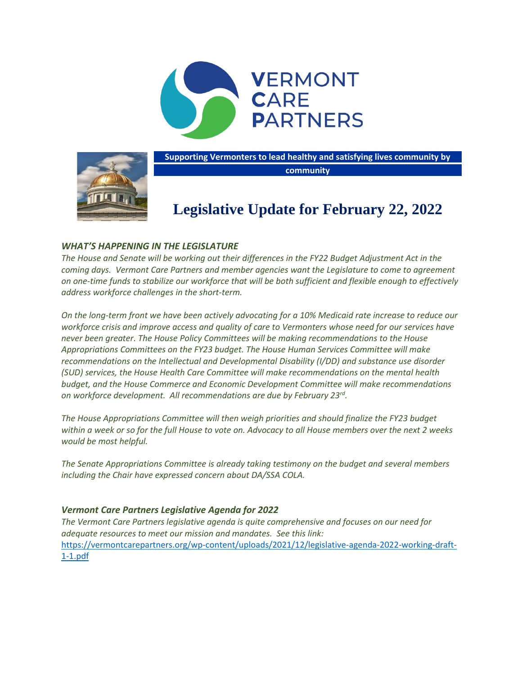



**Supporting Vermonters to lead healthy and satisfying lives community by community**

# **Legislative Update for February 22, 2022**

# *WHAT'S HAPPENING IN THE LEGISLATURE*

*The House and Senate will be working out their differences in the FY22 Budget Adjustment Act in the coming days. Vermont Care Partners and member agencies want the Legislature to come to agreement on one-time funds to stabilize our workforce that will be both sufficient and flexible enough to effectively address workforce challenges in the short-term.* 

*On the long-term front we have been actively advocating for a 10% Medicaid rate increase to reduce our workforce crisis and improve access and quality of care to Vermonters whose need for our services have never been greater. The House Policy Committees will be making recommendations to the House Appropriations Committees on the FY23 budget. The House Human Services Committee will make recommendations on the Intellectual and Developmental Disability (I/DD) and substance use disorder (SUD) services, the House Health Care Committee will make recommendations on the mental health budget, and the House Commerce and Economic Development Committee will make recommendations on workforce development. All recommendations are due by February 23rd .*

*The House Appropriations Committee will then weigh priorities and should finalize the FY23 budget* within a week or so for the full House to vote on. Advocacy to all House members over the next 2 weeks *would be most helpful.*

*The Senate Appropriations Committee is already taking testimony on the budget and several members including the Chair have expressed concern about DA/SSA COLA.*

## *Vermont Care Partners Legislative Agenda for 2022*

*The Vermont Care Partners legislative agenda is quite comprehensive and focuses on our need for adequate resources to meet our mission and mandates. See this link:*  [https://vermontcarepartners.org/wp-content/uploads/2021/12/legislative-agenda-2022-working-draft-](https://vermontcarepartners.org/wp-content/uploads/2021/12/legislative-agenda-2022-working-draft-1-1.pdf)[1-1.pdf](https://vermontcarepartners.org/wp-content/uploads/2021/12/legislative-agenda-2022-working-draft-1-1.pdf)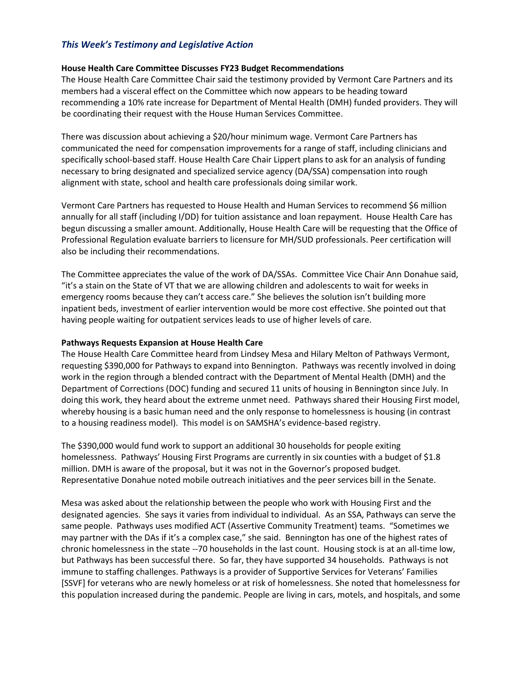# *This Week's Testimony and Legislative Action*

## **House Health Care Committee Discusses FY23 Budget Recommendations**

The House Health Care Committee Chair said the testimony provided by Vermont Care Partners and its members had a visceral effect on the Committee which now appears to be heading toward recommending a 10% rate increase for Department of Mental Health (DMH) funded providers. They will be coordinating their request with the House Human Services Committee.

There was discussion about achieving a \$20/hour minimum wage. Vermont Care Partners has communicated the need for compensation improvements for a range of staff, including clinicians and specifically school-based staff. House Health Care Chair Lippert plans to ask for an analysis of funding necessary to bring designated and specialized service agency (DA/SSA) compensation into rough alignment with state, school and health care professionals doing similar work.

Vermont Care Partners has requested to House Health and Human Services to recommend \$6 million annually for all staff (including I/DD) for tuition assistance and loan repayment. House Health Care has begun discussing a smaller amount. Additionally, House Health Care will be requesting that the Office of Professional Regulation evaluate barriers to licensure for MH/SUD professionals. Peer certification will also be including their recommendations.

The Committee appreciates the value of the work of DA/SSAs. Committee Vice Chair Ann Donahue said, "it's a stain on the State of VT that we are allowing children and adolescents to wait for weeks in emergency rooms because they can't access care." She believes the solution isn't building more inpatient beds, investment of earlier intervention would be more cost effective. She pointed out that having people waiting for outpatient services leads to use of higher levels of care.

#### **Pathways Requests Expansion at House Health Care**

The House Health Care Committee heard from Lindsey Mesa and Hilary Melton of Pathways Vermont, requesting \$390,000 for Pathways to expand into Bennington. Pathways was recently involved in doing work in the region through a blended contract with the Department of Mental Health (DMH) and the Department of Corrections (DOC) funding and secured 11 units of housing in Bennington since July. In doing this work, they heard about the extreme unmet need. Pathways shared their Housing First model, whereby housing is a basic human need and the only response to homelessness is housing (in contrast to a housing readiness model). This model is on SAMSHA's evidence-based registry.

The \$390,000 would fund work to support an additional 30 households for people exiting homelessness. Pathways' Housing First Programs are currently in six counties with a budget of \$1.8 million. DMH is aware of the proposal, but it was not in the Governor's proposed budget. Representative Donahue noted mobile outreach initiatives and the peer services bill in the Senate.

Mesa was asked about the relationship between the people who work with Housing First and the designated agencies. She says it varies from individual to individual. As an SSA, Pathways can serve the same people. Pathways uses modified ACT (Assertive Community Treatment) teams. "Sometimes we may partner with the DAs if it's a complex case," she said. Bennington has one of the highest rates of chronic homelessness in the state --70 households in the last count. Housing stock is at an all-time low, but Pathways has been successful there. So far, they have supported 34 households. Pathways is not immune to staffing challenges. Pathways is a provider of Supportive Services for Veterans' Families [SSVF] for veterans who are newly homeless or at risk of homelessness. She noted that homelessness for this population increased during the pandemic. People are living in cars, motels, and hospitals, and some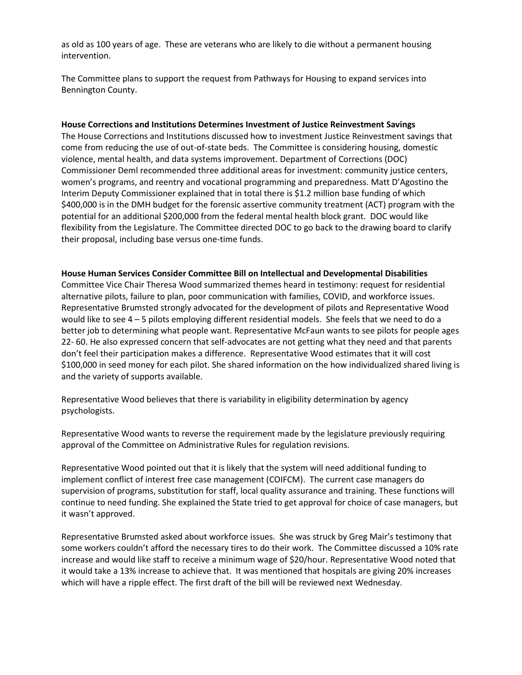as old as 100 years of age. These are veterans who are likely to die without a permanent housing intervention.

The Committee plans to support the request from Pathways for Housing to expand services into Bennington County.

#### **House Corrections and Institutions Determines Investment of Justice Reinvestment Savings**

The House Corrections and Institutions discussed how to investment Justice Reinvestment savings that come from reducing the use of out-of-state beds. The Committee is considering housing, domestic violence, mental health, and data systems improvement. Department of Corrections (DOC) Commissioner Deml recommended three additional areas for investment: community justice centers, women's programs, and reentry and vocational programming and preparedness. Matt D'Agostino the Interim Deputy Commissioner explained that in total there is \$1.2 million base funding of which \$400,000 is in the DMH budget for the forensic assertive community treatment (ACT) program with the potential for an additional \$200,000 from the federal mental health block grant. DOC would like flexibility from the Legislature. The Committee directed DOC to go back to the drawing board to clarify their proposal, including base versus one-time funds.

#### **House Human Services Consider Committee Bill on Intellectual and Developmental Disabilities**

Committee Vice Chair Theresa Wood summarized themes heard in testimony: request for residential alternative pilots, failure to plan, poor communication with families, COVID, and workforce issues. Representative Brumsted strongly advocated for the development of pilots and Representative Wood would like to see 4 – 5 pilots employing different residential models. She feels that we need to do a better job to determining what people want. Representative McFaun wants to see pilots for people ages 22- 60. He also expressed concern that self-advocates are not getting what they need and that parents don't feel their participation makes a difference. Representative Wood estimates that it will cost \$100,000 in seed money for each pilot. She shared information on the how individualized shared living is and the variety of supports available.

Representative Wood believes that there is variability in eligibility determination by agency psychologists.

Representative Wood wants to reverse the requirement made by the legislature previously requiring approval of the Committee on Administrative Rules for regulation revisions.

Representative Wood pointed out that it is likely that the system will need additional funding to implement conflict of interest free case management (COIFCM). The current case managers do supervision of programs, substitution for staff, local quality assurance and training. These functions will continue to need funding. She explained the State tried to get approval for choice of case managers, but it wasn't approved.

Representative Brumsted asked about workforce issues. She was struck by Greg Mair's testimony that some workers couldn't afford the necessary tires to do their work. The Committee discussed a 10% rate increase and would like staff to receive a minimum wage of \$20/hour. Representative Wood noted that it would take a 13% increase to achieve that. It was mentioned that hospitals are giving 20% increases which will have a ripple effect. The first draft of the bill will be reviewed next Wednesday.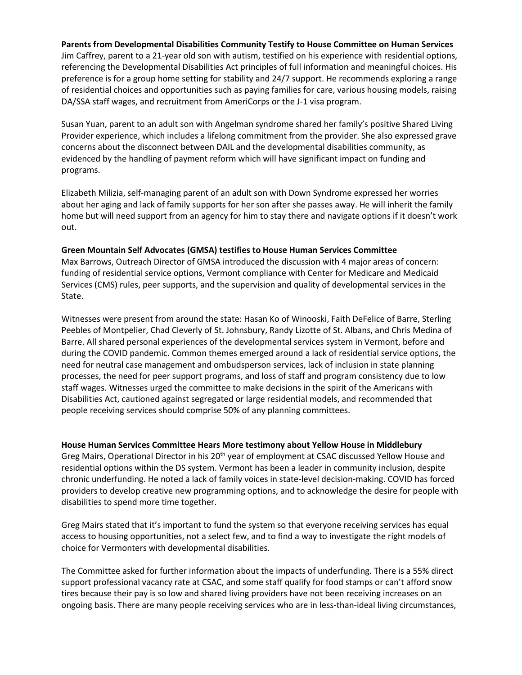## **Parents from Developmental Disabilities Community Testify to House Committee on Human Services**

Jim Caffrey, parent to a 21-year old son with autism, testified on his experience with residential options, referencing the Developmental Disabilities Act principles of full information and meaningful choices. His preference is for a group home setting for stability and 24/7 support. He recommends exploring a range of residential choices and opportunities such as paying families for care, various housing models, raising DA/SSA staff wages, and recruitment from AmeriCorps or the J-1 visa program.

Susan Yuan, parent to an adult son with Angelman syndrome shared her family's positive Shared Living Provider experience, which includes a lifelong commitment from the provider. She also expressed grave concerns about the disconnect between DAIL and the developmental disabilities community, as evidenced by the handling of payment reform which will have significant impact on funding and programs.

Elizabeth Milizia, self-managing parent of an adult son with Down Syndrome expressed her worries about her aging and lack of family supports for her son after she passes away. He will inherit the family home but will need support from an agency for him to stay there and navigate options if it doesn't work out.

#### **Green Mountain Self Advocates (GMSA) testifies to House Human Services Committee**

Max Barrows, Outreach Director of GMSA introduced the discussion with 4 major areas of concern: funding of residential service options, Vermont compliance with Center for Medicare and Medicaid Services (CMS) rules, peer supports, and the supervision and quality of developmental services in the State.

Witnesses were present from around the state: Hasan Ko of Winooski, Faith DeFelice of Barre, Sterling Peebles of Montpelier, Chad Cleverly of St. Johnsbury, Randy Lizotte of St. Albans, and Chris Medina of Barre. All shared personal experiences of the developmental services system in Vermont, before and during the COVID pandemic. Common themes emerged around a lack of residential service options, the need for neutral case management and ombudsperson services, lack of inclusion in state planning processes, the need for peer support programs, and loss of staff and program consistency due to low staff wages. Witnesses urged the committee to make decisions in the spirit of the Americans with Disabilities Act, cautioned against segregated or large residential models, and recommended that people receiving services should comprise 50% of any planning committees.

## **House Human Services Committee Hears More testimony about Yellow House in Middlebury**

Greg Mairs, Operational Director in his 20<sup>th</sup> year of employment at CSAC discussed Yellow House and residential options within the DS system. Vermont has been a leader in community inclusion, despite chronic underfunding. He noted a lack of family voices in state-level decision-making. COVID has forced providers to develop creative new programming options, and to acknowledge the desire for people with disabilities to spend more time together.

Greg Mairs stated that it's important to fund the system so that everyone receiving services has equal access to housing opportunities, not a select few, and to find a way to investigate the right models of choice for Vermonters with developmental disabilities.

The Committee asked for further information about the impacts of underfunding. There is a 55% direct support professional vacancy rate at CSAC, and some staff qualify for food stamps or can't afford snow tires because their pay is so low and shared living providers have not been receiving increases on an ongoing basis. There are many people receiving services who are in less-than-ideal living circumstances,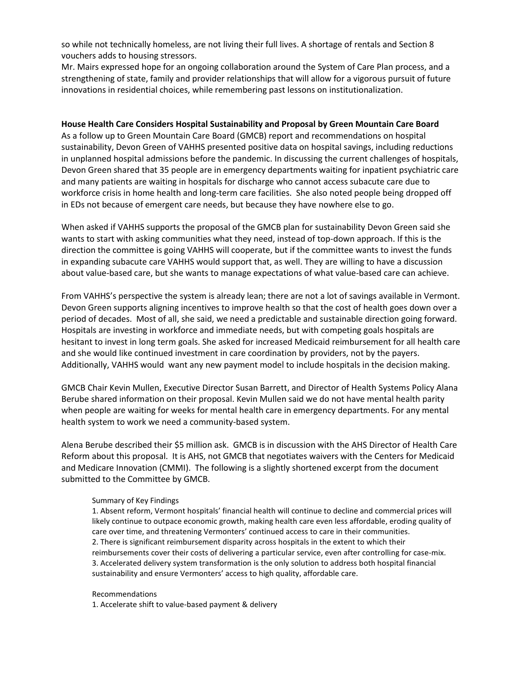so while not technically homeless, are not living their full lives. A shortage of rentals and Section 8 vouchers adds to housing stressors.

Mr. Mairs expressed hope for an ongoing collaboration around the System of Care Plan process, and a strengthening of state, family and provider relationships that will allow for a vigorous pursuit of future innovations in residential choices, while remembering past lessons on institutionalization.

## **House Health Care Considers Hospital Sustainability and Proposal by Green Mountain Care Board**

As a follow up to Green Mountain Care Board (GMCB) report and recommendations on hospital sustainability, Devon Green of VAHHS presented positive data on hospital savings, including reductions in unplanned hospital admissions before the pandemic. In discussing the current challenges of hospitals, Devon Green shared that 35 people are in emergency departments waiting for inpatient psychiatric care and many patients are waiting in hospitals for discharge who cannot access subacute care due to workforce crisis in home health and long-term care facilities. She also noted people being dropped off in EDs not because of emergent care needs, but because they have nowhere else to go.

When asked if VAHHS supports the proposal of the GMCB plan for sustainability Devon Green said she wants to start with asking communities what they need, instead of top-down approach. If this is the direction the committee is going VAHHS will cooperate, but if the committee wants to invest the funds in expanding subacute care VAHHS would support that, as well. They are willing to have a discussion about value-based care, but she wants to manage expectations of what value-based care can achieve.

From VAHHS's perspective the system is already lean; there are not a lot of savings available in Vermont. Devon Green supports aligning incentives to improve health so that the cost of health goes down over a period of decades. Most of all, she said, we need a predictable and sustainable direction going forward. Hospitals are investing in workforce and immediate needs, but with competing goals hospitals are hesitant to invest in long term goals. She asked for increased Medicaid reimbursement for all health care and she would like continued investment in care coordination by providers, not by the payers. Additionally, VAHHS would want any new payment model to include hospitals in the decision making.

GMCB Chair Kevin Mullen, Executive Director Susan Barrett, and Director of Health Systems Policy Alana Berube shared information on their proposal. Kevin Mullen said we do not have mental health parity when people are waiting for weeks for mental health care in emergency departments. For any mental health system to work we need a community-based system.

Alena Berube described their \$5 million ask. GMCB is in discussion with the AHS Director of Health Care Reform about this proposal. It is AHS, not GMCB that negotiates waivers with the Centers for Medicaid and Medicare Innovation (CMMI). The following is a slightly shortened excerpt from the document submitted to the Committee by GMCB.

#### Summary of Key Findings

1. Absent reform, Vermont hospitals' financial health will continue to decline and commercial prices will likely continue to outpace economic growth, making health care even less affordable, eroding quality of care over time, and threatening Vermonters' continued access to care in their communities. 2. There is significant reimbursement disparity across hospitals in the extent to which their reimbursements cover their costs of delivering a particular service, even after controlling for case-mix. 3. Accelerated delivery system transformation is the only solution to address both hospital financial sustainability and ensure Vermonters' access to high quality, affordable care.

#### Recommendations

1. Accelerate shift to value-based payment & delivery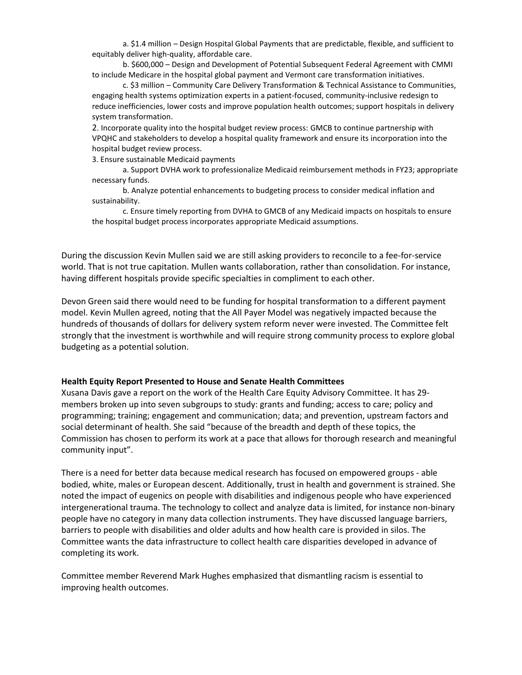a. \$1.4 million – Design Hospital Global Payments that are predictable, flexible, and sufficient to equitably deliver high-quality, affordable care.

b. \$600,000 – Design and Development of Potential Subsequent Federal Agreement with CMMI to include Medicare in the hospital global payment and Vermont care transformation initiatives.

c. \$3 million – Community Care Delivery Transformation & Technical Assistance to Communities, engaging health systems optimization experts in a patient-focused, community-inclusive redesign to reduce inefficiencies, lower costs and improve population health outcomes; support hospitals in delivery system transformation.

2. Incorporate quality into the hospital budget review process: GMCB to continue partnership with VPQHC and stakeholders to develop a hospital quality framework and ensure its incorporation into the hospital budget review process.

3. Ensure sustainable Medicaid payments

a. Support DVHA work to professionalize Medicaid reimbursement methods in FY23; appropriate necessary funds.

b. Analyze potential enhancements to budgeting process to consider medical inflation and sustainability.

c. Ensure timely reporting from DVHA to GMCB of any Medicaid impacts on hospitals to ensure the hospital budget process incorporates appropriate Medicaid assumptions.

During the discussion Kevin Mullen said we are still asking providers to reconcile to a fee-for-service world. That is not true capitation. Mullen wants collaboration, rather than consolidation. For instance, having different hospitals provide specific specialties in compliment to each other.

Devon Green said there would need to be funding for hospital transformation to a different payment model. Kevin Mullen agreed, noting that the All Payer Model was negatively impacted because the hundreds of thousands of dollars for delivery system reform never were invested. The Committee felt strongly that the investment is worthwhile and will require strong community process to explore global budgeting as a potential solution.

#### **Health Equity Report Presented to House and Senate Health Committees**

Xusana Davis gave a report on the work of the Health Care Equity Advisory Committee. It has 29 members broken up into seven subgroups to study: grants and funding; access to care; policy and programming; training; engagement and communication; data; and prevention, upstream factors and social determinant of health. She said "because of the breadth and depth of these topics, the Commission has chosen to perform its work at a pace that allows for thorough research and meaningful community input".

There is a need for better data because medical research has focused on empowered groups - able bodied, white, males or European descent. Additionally, trust in health and government is strained. She noted the impact of eugenics on people with disabilities and indigenous people who have experienced intergenerational trauma. The technology to collect and analyze data is limited, for instance non-binary people have no category in many data collection instruments. They have discussed language barriers, barriers to people with disabilities and older adults and how health care is provided in silos. The Committee wants the data infrastructure to collect health care disparities developed in advance of completing its work.

Committee member Reverend Mark Hughes emphasized that dismantling racism is essential to improving health outcomes.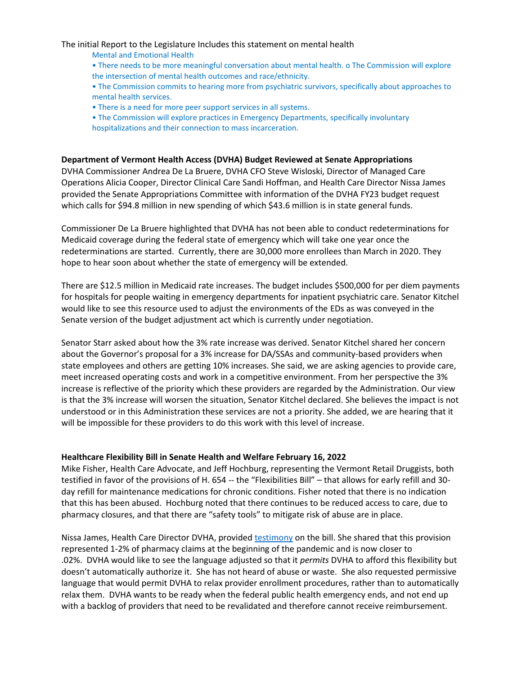#### The initial Report to the Legislature Includes this statement on mental health

- Mental and Emotional Health
- There needs to be more meaningful conversation about mental health. o The Commission will explore the intersection of mental health outcomes and race/ethnicity.
- The Commission commits to hearing more from psychiatric survivors, specifically about approaches to mental health services.
- There is a need for more peer support services in all systems.
- The Commission will explore practices in Emergency Departments, specifically involuntary hospitalizations and their connection to mass incarceration.

## **Department of Vermont Health Access (DVHA) Budget Reviewed at Senate Appropriations**

DVHA Commissioner Andrea De La Bruere, DVHA CFO Steve Wisloski, Director of Managed Care Operations Alicia Cooper, Director Clinical Care Sandi Hoffman, and Health Care Director Nissa James provided the Senate Appropriations Committee with information of the DVHA FY23 budget request which calls for \$94.8 million in new spending of which \$43.6 million is in state general funds.

Commissioner De La Bruere highlighted that DVHA has not been able to conduct redeterminations for Medicaid coverage during the federal state of emergency which will take one year once the redeterminations are started. Currently, there are 30,000 more enrollees than March in 2020. They hope to hear soon about whether the state of emergency will be extended.

There are \$12.5 million in Medicaid rate increases. The budget includes \$500,000 for per diem payments for hospitals for people waiting in emergency departments for inpatient psychiatric care. Senator Kitchel would like to see this resource used to adjust the environments of the EDs as was conveyed in the Senate version of the budget adjustment act which is currently under negotiation.

Senator Starr asked about how the 3% rate increase was derived. Senator Kitchel shared her concern about the Governor's proposal for a 3% increase for DA/SSAs and community-based providers when state employees and others are getting 10% increases. She said, we are asking agencies to provide care, meet increased operating costs and work in a competitive environment. From her perspective the 3% increase is reflective of the priority which these providers are regarded by the Administration. Our view is that the 3% increase will worsen the situation, Senator Kitchel declared. She believes the impact is not understood or in this Administration these services are not a priority. She added, we are hearing that it will be impossible for these providers to do this work with this level of increase.

#### **Healthcare Flexibility Bill in Senate Health and Welfare February 16, 2022**

Mike Fisher, Health Care Advocate, and Jeff Hochburg, representing the Vermont Retail Druggists, both testified in favor of the provisions of H. 654 -- the "Flexibilities Bill" – that allows for early refill and 30 day refill for maintenance medications for chronic conditions. Fisher noted that there is no indication that this has been abused. Hochburg noted that there continues to be reduced access to care, due to pharmacy closures, and that there are "safety tools" to mitigate risk of abuse are in place.

Nissa James, Health Care Director DVHA, provide[d testimony](https://legislature.vermont.gov/Documents/2022/WorkGroups/Senate%20Health%20and%20Welfare/Bills/H.654/Witness%20Documents/H.654~Nissa%20James~Department%20of%20Vermont%20Health%20Access%20Written%20Testimony~2-16-2022.pdf) on the bill. She shared that this provision represented 1-2% of pharmacy claims at the beginning of the pandemic and is now closer to .02%. DVHA would like to see the language adjusted so that it *permits* DVHA to afford this flexibility but doesn't automatically authorize it. She has not heard of abuse or waste. She also requested permissive language that would permit DVHA to relax provider enrollment procedures, rather than to automatically relax them. DVHA wants to be ready when the federal public health emergency ends, and not end up with a backlog of providers that need to be revalidated and therefore cannot receive reimbursement.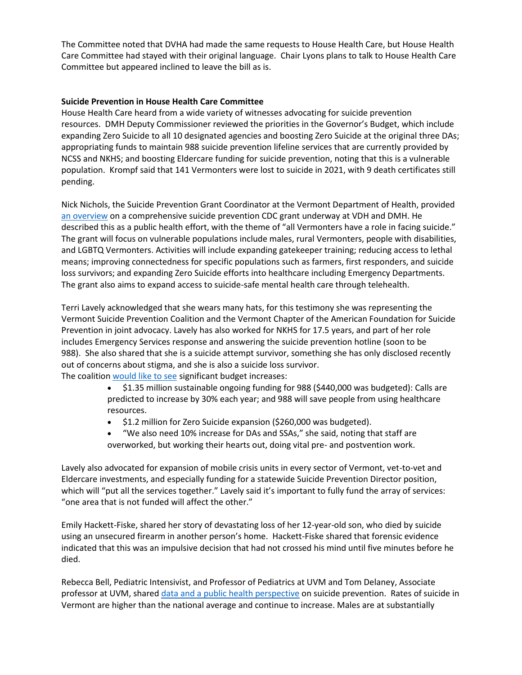The Committee noted that DVHA had made the same requests to House Health Care, but House Health Care Committee had stayed with their original language. Chair Lyons plans to talk to House Health Care Committee but appeared inclined to leave the bill as is.

## **Suicide Prevention in House Health Care Committee**

House Health Care heard from a wide variety of witnesses advocating for suicide prevention resources. DMH Deputy Commissioner reviewed the priorities in the Governor's Budget, which include expanding Zero Suicide to all 10 designated agencies and boosting Zero Suicide at the original three DAs; appropriating funds to maintain 988 suicide prevention lifeline services that are currently provided by NCSS and NKHS; and boosting Eldercare funding for suicide prevention, noting that this is a vulnerable population. Krompf said that 141 Vermonters were lost to suicide in 2021, with 9 death certificates still pending.

Nick Nichols, the Suicide Prevention Grant Coordinator at the Vermont Department of Health, provided [an overview](https://legislature.vermont.gov/Documents/2022/WorkGroups/House%20Health%20Care/Suicide%20Prevention/W~Nick%20Nichols~Department%20of%20Health%20Presentation%20-%20Comprehensive%20Suicide%20Prevention%20Grant~2-16-2022.pdf) on a comprehensive suicide prevention CDC grant underway at VDH and DMH. He described this as a public health effort, with the theme of "all Vermonters have a role in facing suicide." The grant will focus on vulnerable populations include males, rural Vermonters, people with disabilities, and LGBTQ Vermonters. Activities will include expanding gatekeeper training; reducing access to lethal means; improving connectedness for specific populations such as farmers, first responders, and suicide loss survivors; and expanding Zero Suicide efforts into healthcare including Emergency Departments. The grant also aims to expand access to suicide-safe mental health care through telehealth.

Terri Lavely acknowledged that she wears many hats, for this testimony she was representing the Vermont Suicide Prevention Coalition and the Vermont Chapter of the American Foundation for Suicide Prevention in joint advocacy. Lavely has also worked for NKHS for 17.5 years, and part of her role includes Emergency Services response and answering the suicide prevention hotline (soon to be 988). She also shared that she is a suicide attempt survivor, something she has only disclosed recently out of concerns about stigma, and she is also a suicide loss survivor. The coalition [would like to see](https://legislature.vermont.gov/Documents/2022/WorkGroups/House%20Health%20Care/FY2023%20Budget/W~Terri%20Lavely~The%20Vermont%20Suicide%20Prevention%20Center%20(VTSPC)%20and%20The%20American%20Foundation%20for%20Suicide%20Letter%20-%20Budget%20Request%20for%20Suicide%20Prevention~2-16-2022.pdf) significant budget increases:

- \$1.35 million sustainable ongoing funding for 988 (\$440,000 was budgeted): Calls are predicted to increase by 30% each year; and 988 will save people from using healthcare resources.
- \$1.2 million for Zero Suicide expansion (\$260,000 was budgeted).
- "We also need 10% increase for DAs and SSAs," she said, noting that staff are overworked, but working their hearts out, doing vital pre- and postvention work.

Lavely also advocated for expansion of mobile crisis units in every sector of Vermont, vet-to-vet and Eldercare investments, and especially funding for a statewide Suicide Prevention Director position, which will "put all the services together." Lavely said it's important to fully fund the array of services: "one area that is not funded will affect the other."

Emily Hackett-Fiske, shared her story of devastating loss of her 12-year-old son, who died by suicide using an unsecured firearm in another person's home. Hackett-Fiske shared that forensic evidence indicated that this was an impulsive decision that had not crossed his mind until five minutes before he died.

Rebecca Bell, Pediatric Intensivist, and Professor of Pediatrics at UVM and Tom Delaney, Associate professor at UVM, shared [data and a public health perspective](https://legislature.vermont.gov/Documents/2022/WorkGroups/House%20Health%20Care/Suicide%20Prevention/W~Rebecca%20Bell~Rebecca%20Bell,%20MD,%20MPH%20and%20Tom%20Delaney,%20PhD%20Presentation%20-%20%20Firearms%20and%20Suicide%20in%20Vermont%20-%20%20Public%20Health%20Perspectives%20on%20Prevention~2-16-2022.pdf) on suicide prevention. Rates of suicide in Vermont are higher than the national average and continue to increase. Males are at substantially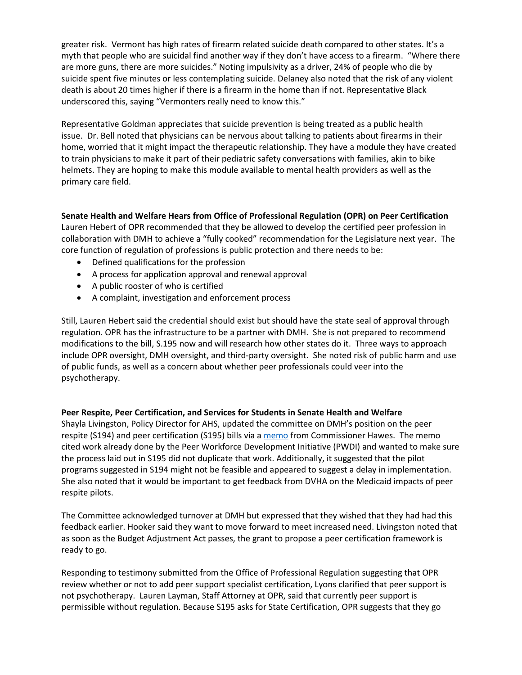greater risk. Vermont has high rates of firearm related suicide death compared to other states. It's a myth that people who are suicidal find another way if they don't have access to a firearm. "Where there are more guns, there are more suicides." Noting impulsivity as a driver, 24% of people who die by suicide spent five minutes or less contemplating suicide. Delaney also noted that the risk of any violent death is about 20 times higher if there is a firearm in the home than if not. Representative Black underscored this, saying "Vermonters really need to know this."

Representative Goldman appreciates that suicide prevention is being treated as a public health issue. Dr. Bell noted that physicians can be nervous about talking to patients about firearms in their home, worried that it might impact the therapeutic relationship. They have a module they have created to train physicians to make it part of their pediatric safety conversations with families, akin to bike helmets. They are hoping to make this module available to mental health providers as well as the primary care field.

# **Senate Health and Welfare Hears from Office of Professional Regulation (OPR) on Peer Certification**

Lauren Hebert of OPR recommended that they be allowed to develop the certified peer profession in collaboration with DMH to achieve a "fully cooked" recommendation for the Legislature next year. The core function of regulation of professions is public protection and there needs to be:

- Defined qualifications for the profession
- A process for application approval and renewal approval
- A public rooster of who is certified
- A complaint, investigation and enforcement process

Still, Lauren Hebert said the credential should exist but should have the state seal of approval through regulation. OPR has the infrastructure to be a partner with DMH. She is not prepared to recommend modifications to the bill, S.195 now and will research how other states do it. Three ways to approach include OPR oversight, DMH oversight, and third-party oversight. She noted risk of public harm and use of public funds, as well as a concern about whether peer professionals could veer into the psychotherapy.

## **Peer Respite, Peer Certification, and Services for Students in Senate Health and Welfare**

Shayla Livingston, Policy Director for AHS, updated the committee on DMH's position on the peer respite (S194) and peer certification (S195) bills via a [memo](https://legislature.vermont.gov/Documents/2022/WorkGroups/Senate%20Health%20and%20Welfare/Bills/S.195/Public%20Comment/S.195~Emily%20Hawes~Department%20of%20Mental%20Health%20Peer%20Bill%20Recommended%20Modifications~2-18-2022.pdf) from Commissioner Hawes. The memo cited work already done by the Peer Workforce Development Initiative (PWDI) and wanted to make sure the process laid out in S195 did not duplicate that work. Additionally, it suggested that the pilot programs suggested in S194 might not be feasible and appeared to suggest a delay in implementation. She also noted that it would be important to get feedback from DVHA on the Medicaid impacts of peer respite pilots.

The Committee acknowledged turnover at DMH but expressed that they wished that they had had this feedback earlier. Hooker said they want to move forward to meet increased need. Livingston noted that as soon as the Budget Adjustment Act passes, the grant to propose a peer certification framework is ready to go.

Responding to testimony submitted from the Office of Professional Regulation suggesting that OPR review whether or not to add peer support specialist certification, Lyons clarified that peer support is not psychotherapy. Lauren Layman, Staff Attorney at OPR, said that currently peer support is permissible without regulation. Because S195 asks for State Certification, OPR suggests that they go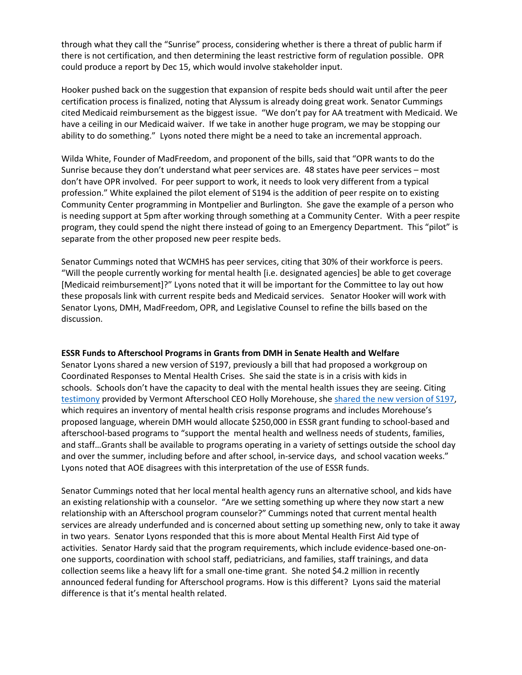through what they call the "Sunrise" process, considering whether is there a threat of public harm if there is not certification, and then determining the least restrictive form of regulation possible. OPR could produce a report by Dec 15, which would involve stakeholder input.

Hooker pushed back on the suggestion that expansion of respite beds should wait until after the peer certification process is finalized, noting that Alyssum is already doing great work. Senator Cummings cited Medicaid reimbursement as the biggest issue. "We don't pay for AA treatment with Medicaid. We have a ceiling in our Medicaid waiver. If we take in another huge program, we may be stopping our ability to do something." Lyons noted there might be a need to take an incremental approach.

Wilda White, Founder of MadFreedom, and proponent of the bills, said that "OPR wants to do the Sunrise because they don't understand what peer services are. 48 states have peer services – most don't have OPR involved. For peer support to work, it needs to look very different from a typical profession." White explained the pilot element of S194 is the addition of peer respite on to existing Community Center programming in Montpelier and Burlington. She gave the example of a person who is needing support at 5pm after working through something at a Community Center. With a peer respite program, they could spend the night there instead of going to an Emergency Department. This "pilot" is separate from the other proposed new peer respite beds.

Senator Cummings noted that WCMHS has peer services, citing that 30% of their workforce is peers. "Will the people currently working for mental health [i.e. designated agencies] be able to get coverage [Medicaid reimbursement]?" Lyons noted that it will be important for the Committee to lay out how these proposals link with current respite beds and Medicaid services. Senator Hooker will work with Senator Lyons, DMH, MadFreedom, OPR, and Legislative Counsel to refine the bills based on the discussion.

#### **ESSR Funds to Afterschool Programs in Grants from DMH in Senate Health and Welfare**

Senator Lyons shared a new version of S197, previously a bill that had proposed a workgroup on Coordinated Responses to Mental Health Crises. She said the state is in a crisis with kids in schools. Schools don't have the capacity to deal with the mental health issues they are seeing. Citing [testimony](https://legislature.vermont.gov/Documents/2022/WorkGroups/Senate%20Health%20and%20Welfare/Bills/S.197/Public%20Comment/S.197~Holly%20Morehouse~Funding%20to%20Support%20Youth%20Mental%20Health%20and%20Wellness%20in%20Afterschool%20programs~2-18-2022.pdf) provided by Vermont Afterschool CEO Holly Morehouse, she [shared the new version of S197,](https://legislature.vermont.gov/Documents/2022/WorkGroups/Senate%20Health%20and%20Welfare/Bills/S.197/Drafts,%20Amendments,%20and%20Legal%20Documents/S.197~Katie%20McLinn~%20Draft%201.1,%202-14-2022%20Strike-All%20Amendment~2-18-2022.pdf) which requires an inventory of mental health crisis response programs and includes Morehouse's proposed language, wherein DMH would allocate \$250,000 in ESSR grant funding to school-based and afterschool-based programs to "support the mental health and wellness needs of students, families, and staff…Grants shall be available to programs operating in a variety of settings outside the school day and over the summer, including before and after school, in-service days, and school vacation weeks." Lyons noted that AOE disagrees with this interpretation of the use of ESSR funds.

Senator Cummings noted that her local mental health agency runs an alternative school, and kids have an existing relationship with a counselor. "Are we setting something up where they now start a new relationship with an Afterschool program counselor?" Cummings noted that current mental health services are already underfunded and is concerned about setting up something new, only to take it away in two years. Senator Lyons responded that this is more about Mental Health First Aid type of activities. Senator Hardy said that the program requirements, which include evidence-based one-onone supports, coordination with school staff, pediatricians, and families, staff trainings, and data collection seems like a heavy lift for a small one-time grant. She noted \$4.2 million in recently announced federal funding for Afterschool programs. How is this different? Lyons said the material difference is that it's mental health related.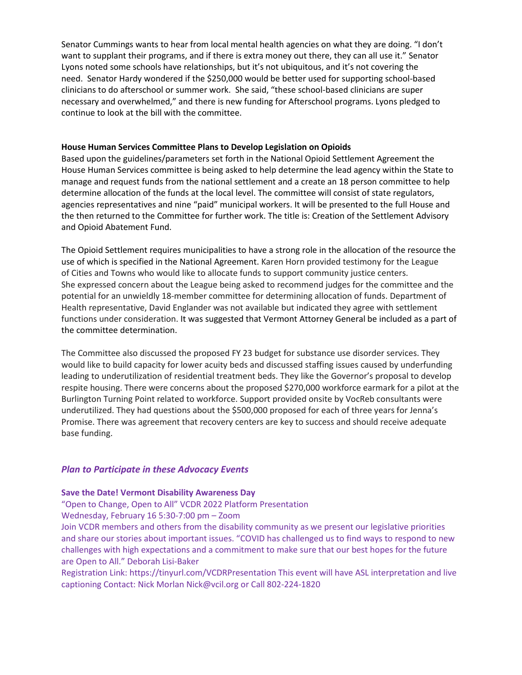Senator Cummings wants to hear from local mental health agencies on what they are doing. "I don't want to supplant their programs, and if there is extra money out there, they can all use it." Senator Lyons noted some schools have relationships, but it's not ubiquitous, and it's not covering the need. Senator Hardy wondered if the \$250,000 would be better used for supporting school-based clinicians to do afterschool or summer work. She said, "these school-based clinicians are super necessary and overwhelmed," and there is new funding for Afterschool programs. Lyons pledged to continue to look at the bill with the committee.

## **House Human Services Committee Plans to Develop Legislation on Opioids**

Based upon the guidelines/parameters set forth in the National Opioid Settlement Agreement the House Human Services committee is being asked to help determine the lead agency within the State to manage and request funds from the national settlement and a create an 18 person committee to help determine allocation of the funds at the local level. The committee will consist of state regulators, agencies representatives and nine "paid" municipal workers. It will be presented to the full House and the then returned to the Committee for further work. The title is: Creation of the Settlement Advisory and Opioid Abatement Fund.

The Opioid Settlement requires municipalities to have a strong role in the allocation of the resource the use of which is specified in the National Agreement. Karen Horn provided testimony for the League of Cities and Towns who would like to allocate funds to support community justice centers. She expressed concern about the League being asked to recommend judges for the committee and the potential for an unwieldly 18-member committee for determining allocation of funds. Department of Health representative, David Englander was not available but indicated they agree with settlement functions under consideration. It was suggested that Vermont Attorney General be included as a part of the committee determination.

The Committee also discussed the proposed FY 23 budget for substance use disorder services. They would like to build capacity for lower acuity beds and discussed staffing issues caused by underfunding leading to underutilization of residential treatment beds. They like the Governor's proposal to develop respite housing. There were concerns about the proposed \$270,000 workforce earmark for a pilot at the Burlington Turning Point related to workforce. Support provided onsite by VocReb consultants were underutilized. They had questions about the \$500,000 proposed for each of three years for Jenna's Promise. There was agreement that recovery centers are key to success and should receive adequate base funding.

# *Plan to Participate in these Advocacy Events*

## **Save the Date! Vermont Disability Awareness Day**

"Open to Change, Open to All" VCDR 2022 Platform Presentation

Wednesday, February 16 5:30-7:00 pm – Zoom Join VCDR members and others from the disability community as we present our legislative priorities and share our stories about important issues. "COVID has challenged us to find ways to respond to new challenges with high expectations and a commitment to make sure that our best hopes for the future

are Open to All." Deborah Lisi-Baker

Registration Link: https://tinyurl.com/VCDRPresentation This event will have ASL interpretation and live captioning Contact: Nick Morlan Nick@vcil.org or Call 802-224-1820